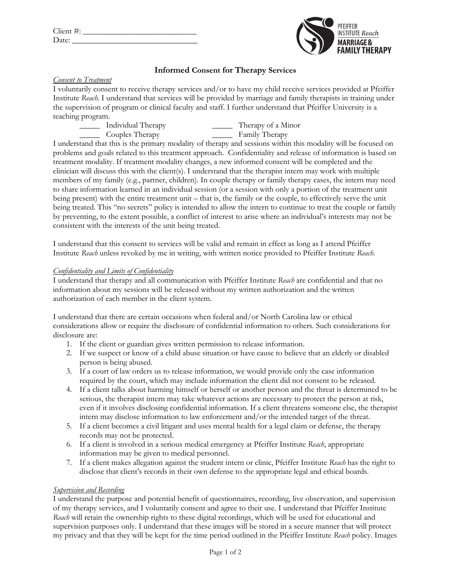| Client #: |  |
|-----------|--|
| Date:     |  |



# **Informed Consent for Therapy Services**

## *Consent to Treatment*

I voluntarily consent to receive therapy services and/or to have my child receive services provided at Pfeiffer Institute *Reach*. I understand that services will be provided by marriage and family therapists in training under the supervision of program or clinical faculty and staff. I further understand that Pfeiffer University is a teaching program.

\_\_\_\_\_ Individual Therapy \_\_\_\_\_ Therapy of a Minor \_\_\_\_\_ Couples Therapy \_\_\_\_\_ Family Therapy

I understand that this is the primary modality of therapy and sessions within this modality will be focused on problems and goals related to this treatment approach. Confidentiality and release of information is based on treatment modality. If treatment modality changes, a new informed consent will be completed and the clinician will discuss this with the client(s). I understand that the therapist intern may work with multiple members of my family (e.g., partner, children). In couple therapy or family therapy cases, the intern may need to share information learned in an individual session (or a session with only a portion of the treatment unit being present) with the entire treatment unit – that is, the family or the couple, to effectively serve the unit being treated. This "no secrets" policy is intended to allow the intern to continue to treat the couple or family by preventing, to the extent possible, a conflict of interest to arise where an individual's interests may not be consistent with the interests of the unit being treated.

I understand that this consent to services will be valid and remain in effect as long as I attend Pfeiffer Institute *Reach* unless revoked by me in writing, with written notice provided to Pfeiffer Institute *Reach*.

### *Confidentiality and Limits of Confidentiality*

I understand that therapy and all communication with Pfeiffer Institute *Reach* are confidential and that no information about my sessions will be released without my written authorization and the written authorization of each member in the client system.

I understand that there are certain occasions when federal and/or North Carolina law or ethical considerations allow or require the disclosure of confidential information to others. Such considerations for disclosure are:

- 1. If the client or guardian gives written permission to release information.
- 2. If we suspect or know of a child abuse situation or have cause to believe that an elderly or disabled person is being abused.
- 3. If a court of law orders us to release information, we would provide only the case information required by the court, which may include information the client did not consent to be released.
- 4. If a client talks about harming himself or herself or another person and the threat is determined to be serious, the therapist intern may take whatever actions are necessary to protect the person at risk, even if it involves disclosing confidential information. If a client threatens someone else, the therapist intern may disclose information to law enforcement and/or the intended target of the threat.
- 5. If a client becomes a civil litigant and uses mental health for a legal claim or defense, the therapy records may not be protected.
- 6. If a client is involved in a serious medical emergency at Pfeiffer Institute *Reach*, appropriate information may be given to medical personnel.
- 7. If a client makes allegation against the student intern or clinic, Pfeiffer Institute *Reach* has the right to disclose that client's records in their own defense to the appropriate legal and ethical boards.

# *Supervision and Recording*

I understand the purpose and potential benefit of questionnaires, recording, live observation, and supervision of my therapy services, and I voluntarily consent and agree to their use. I understand that Pfeiffer Institute *Reach* will retain the ownership rights to these digital recordings, which will be used for educational and supervision purposes only. I understand that these images will be stored in a secure manner that will protect my privacy and that they will be kept for the time period outlined in the Pfeiffer Institute *Reach* policy. Images